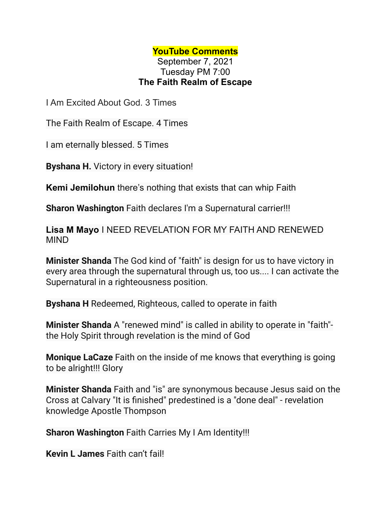## **YouTube Comments**

September 7, 2021 Tuesday PM 7:00 **The Faith Realm of Escape**

I Am Excited About God. 3 Times

The Faith Realm of Escape. 4 Times

I am eternally blessed. 5 Times

**Byshana H.** Victory in every situation!

**Kemi Jemilohun** there's nothing that exists that can whip Faith

**Sharon Washington** Faith declares I'm a Supernatural carrier!!!

**Lisa M Mayo** I NEED REVELATION FOR MY FAITH AND RENEWED MIND

**Minister Shanda** The God kind of "faith" is design for us to have victory in every area through the supernatural through us, too us.... I can activate the Supernatural in a righteousness position.

**Byshana H** Redeemed, Righteous, called to operate in faith

**Minister Shanda** A "renewed mind" is called in ability to operate in "faith" the Holy Spirit through revelation is the mind of God

**Monique LaCaze** Faith on the inside of me knows that everything is going to be alright!!! Glory

**Minister Shanda** Faith and "is" are synonymous because Jesus said on the Cross at Calvary "It is finished" predestined is a "done deal" - revelation knowledge Apostle Thompson

**Sharon Washington** Faith Carries My I Am Identity!!!

**Kevin L James** Faith can't fail!